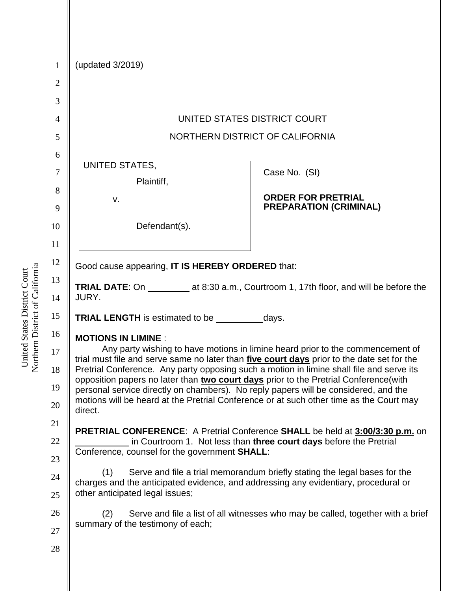| $\mathbf{1}$   | (updated 3/2019)                                                                                                                                                                                                                                                                                                                                                 |                               |  |
|----------------|------------------------------------------------------------------------------------------------------------------------------------------------------------------------------------------------------------------------------------------------------------------------------------------------------------------------------------------------------------------|-------------------------------|--|
| $\mathbf{2}$   |                                                                                                                                                                                                                                                                                                                                                                  |                               |  |
| 3              |                                                                                                                                                                                                                                                                                                                                                                  |                               |  |
| $\overline{4}$ | UNITED STATES DISTRICT COURT                                                                                                                                                                                                                                                                                                                                     |                               |  |
| 5              | NORTHERN DISTRICT OF CALIFORNIA                                                                                                                                                                                                                                                                                                                                  |                               |  |
| 6              |                                                                                                                                                                                                                                                                                                                                                                  |                               |  |
| 7              | UNITED STATES,<br>Plaintiff,                                                                                                                                                                                                                                                                                                                                     | Case No. (SI)                 |  |
| 8              | v.                                                                                                                                                                                                                                                                                                                                                               | <b>ORDER FOR PRETRIAL</b>     |  |
| 9              |                                                                                                                                                                                                                                                                                                                                                                  | <b>PREPARATION (CRIMINAL)</b> |  |
| 10             | Defendant(s).                                                                                                                                                                                                                                                                                                                                                    |                               |  |
| 11             |                                                                                                                                                                                                                                                                                                                                                                  |                               |  |
| 12             | Good cause appearing, IT IS HEREBY ORDERED that:                                                                                                                                                                                                                                                                                                                 |                               |  |
| 13             | JURY.                                                                                                                                                                                                                                                                                                                                                            |                               |  |
| 14             |                                                                                                                                                                                                                                                                                                                                                                  |                               |  |
| 15             |                                                                                                                                                                                                                                                                                                                                                                  |                               |  |
| 16             | <b>MOTIONS IN LIMINE:</b>                                                                                                                                                                                                                                                                                                                                        |                               |  |
| 17             | Any party wishing to have motions in limine heard prior to the commencement of<br>trial must file and serve same no later than five court days prior to the date set for the<br>Pretrial Conference. Any party opposing such a motion in limine shall file and serve its<br>opposition papers no later than two court days prior to the Pretrial Conference(with |                               |  |
| 18             |                                                                                                                                                                                                                                                                                                                                                                  |                               |  |
| 19             | personal service directly on chambers). No reply papers will be considered, and the<br>motions will be heard at the Pretrial Conference or at such other time as the Court may<br>direct.                                                                                                                                                                        |                               |  |
| 20             |                                                                                                                                                                                                                                                                                                                                                                  |                               |  |
| 21             | PRETRIAL CONFERENCE: A Pretrial Conference SHALL be held at 3:00/3:30 p.m. on                                                                                                                                                                                                                                                                                    |                               |  |
| 22             | in Courtroom 1. Not less than three court days before the Pretrial<br>Conference, counsel for the government <b>SHALL:</b>                                                                                                                                                                                                                                       |                               |  |
| 23             |                                                                                                                                                                                                                                                                                                                                                                  |                               |  |
| 24             | Serve and file a trial memorandum briefly stating the legal bases for the<br>(1)<br>charges and the anticipated evidence, and addressing any evidentiary, procedural or<br>other anticipated legal issues;                                                                                                                                                       |                               |  |
| 25             |                                                                                                                                                                                                                                                                                                                                                                  |                               |  |
| 26             | Serve and file a list of all witnesses who may be called, together with a brief<br>(2)                                                                                                                                                                                                                                                                           |                               |  |
| 27             | summary of the testimony of each;                                                                                                                                                                                                                                                                                                                                |                               |  |
| 28             |                                                                                                                                                                                                                                                                                                                                                                  |                               |  |
|                |                                                                                                                                                                                                                                                                                                                                                                  |                               |  |

United States District Court<br>Northern District of California Northern District of California United States District Court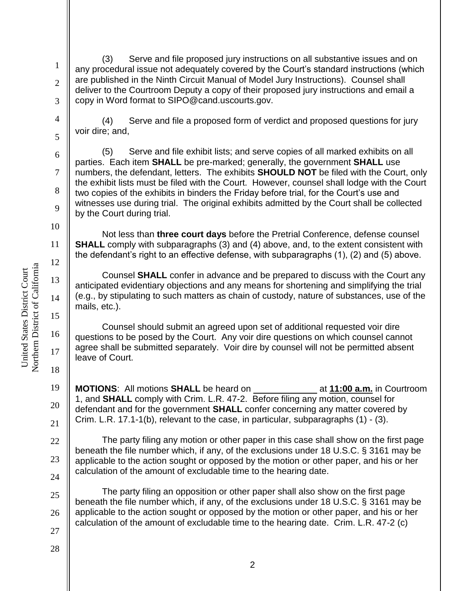2 3

4

5

6

7

8

9

10

11

12

13

14

15

16

17

18

22

23

24

1

(3) Serve and file proposed jury instructions on all substantive issues and on any procedural issue not adequately covered by the Court's standard instructions (which are published in the Ninth Circuit Manual of Model Jury Instructions). Counsel shall deliver to the Courtroom Deputy a copy of their proposed jury instructions and email a copy in Word format to SIPO@cand.uscourts.gov.

(4) Serve and file a proposed form of verdict and proposed questions for jury voir dire; and,

(5) Serve and file exhibit lists; and serve copies of all marked exhibits on all parties. Each item **SHALL** be pre-marked; generally, the government **SHALL** use numbers, the defendant, letters. The exhibits **SHOULD NOT** be filed with the Court, only the exhibit lists must be filed with the Court. However, counsel shall lodge with the Court two copies of the exhibits in binders the Friday before trial, for the Court's use and witnesses use during trial. The original exhibits admitted by the Court shall be collected by the Court during trial.

Not less than **three court days** before the Pretrial Conference, defense counsel **SHALL** comply with subparagraphs (3) and (4) above, and, to the extent consistent with the defendant's right to an effective defense, with subparagraphs (1), (2) and (5) above.

Counsel **SHALL** confer in advance and be prepared to discuss with the Court any anticipated evidentiary objections and any means for shortening and simplifying the trial (e.g., by stipulating to such matters as chain of custody, nature of substances, use of the mails, etc.).

Counsel should submit an agreed upon set of additional requested voir dire questions to be posed by the Court. Any voir dire questions on which counsel cannot agree shall be submitted separately. Voir dire by counsel will not be permitted absent leave of Court.

19 20 21 **MOTIONS**: All motions **SHALL** be heard on at **11:00 a.m.** in Courtroom 1, and **SHALL** comply with Crim. L.R. 47-2. Before filing any motion, counsel for defendant and for the government **SHALL** confer concerning any matter covered by Crim. L.R. 17.1-1(b), relevant to the case, in particular, subparagraphs (1) - (3).

The party filing any motion or other paper in this case shall show on the first page beneath the file number which, if any, of the exclusions under 18 U.S.C. § 3161 may be applicable to the action sought or opposed by the motion or other paper, and his or her calculation of the amount of excludable time to the hearing date.

25 26 27 The party filing an opposition or other paper shall also show on the first page beneath the file number which, if any, of the exclusions under 18 U.S.C. § 3161 may be applicable to the action sought or opposed by the motion or other paper, and his or her calculation of the amount of excludable time to the hearing date. Crim. L.R. 47-2 (c)

Northern District of California Northern District of California United States District Court United States District Court

28